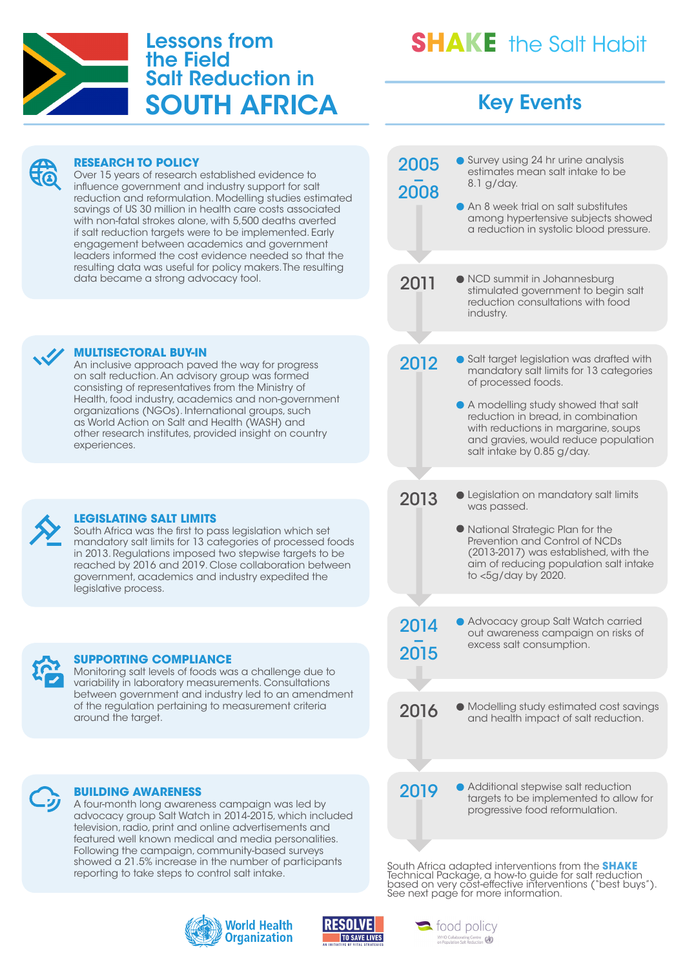

### Lessons from the Field Salt Reduction in SOUTH AFRICA

## **SHAKE** the Salt Habit

### Key Events

**RESEARCH TO POLICY** Over 15 years of research established evidence to influence government and industry support for salt reduction and reformulation. Modelling studies estimated savings of US 30 million in health care costs associated with non-fatal strokes alone, with 5,500 deaths averted if salt reduction targets were to be implemented. Early engagement between academics and government leaders informed the cost evidence needed so that the resulting data was useful for policy makers. The resulting data became a strong advocacy tool. **MULTISECTORAL BUY-IN** An inclusive approach paved the way for progress on salt reduction. An advisory group was formed consisting of representatives from the Ministry of Health, food industry, academics and non-government organizations (NGOs). International groups, such as World Action on Salt and Health (WASH) and other research institutes, provided insight on country experiences. **LEGISLATING SALT LIMITS** South Africa was the first to pass legislation which set mandatory salt limits for 13 categories of processed foods in 2013. Regulations imposed two stepwise targets to be reached by 2016 and 2019. Close collaboration between government, academics and industry expedited the legislative process. **BUILDING AWARENESS** A four-month long awareness campaign was led by advocacy group Salt Watch in 2014-2015, which included television, radio, print and online advertisements and featured well known medical and media personalities. Following the campaign, community-based surveys showed a 21.5% increase in the number of participants **SUPPORTING COMPLIANCE** Monitoring salt levels of foods was a challenge due to variability in laboratory measurements. Consultations between government and industry led to an amendment of the regulation pertaining to measurement criteria around the target. 2005<br>2008 2014<br>2015 2011 2016 2019 2013 2012 ● Survey using 24 hr urine analysis estimates mean salt intake to be 8.1 g/day. ● An 8 week trial on salt substitutes among hypertensive subjects showed a reduction in systolic blood pressure. Advocacy group Salt Watch carried out awareness campaign on risks of excess salt consumption. NCD summit in Johannesburg stimulated government to begin salt reduction consultations with food industry. Modelling study estimated cost savings and health impact of salt reduction. Additional stepwise salt reduction targets to be implemented to allow for progressive food reformulation. **• Legislation on mandatory salt limits** was passed. National Strategic Plan for the Prevention and Control of NCDs (2013-2017) was established, with the aim of reducing population salt intake to <5g/day by 2020. Salt target legislation was drafted with mandatory salt limits for 13 categories of processed foods. A modelling study showed that salt reduction in bread, in combination with reductions in margarine, soups and gravies, would reduce population salt intake by 0.85 g/day.

South Africa adapted interventions from the **SHAKE** Technical Package, a how-to guide for salt reduction based on very cost-effective interventions ("best buys"). See next page for more information.



reporting to take steps to control salt intake.